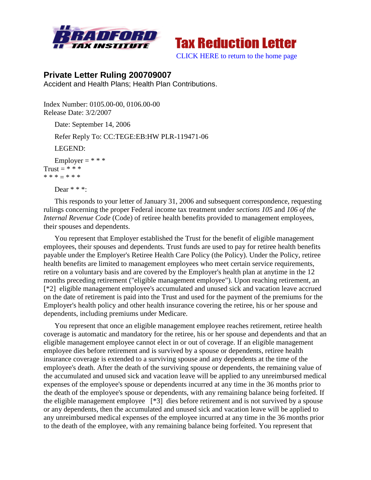



[CLICK HERE to return to the home page](http://bradfordtaxinstitute.com/index1.aspx)

## **Private Letter Ruling 200709007**

Accident and Health Plans; Health Plan Contributions.

Index Number: 0105.00-00, 0106.00-00 Release Date: 3/2/2007

Date: September 14, 2006

Refer Reply To: CC:TEGE:EB:HW PLR-119471-06

LEGEND:

```
Employer = **Trust = **** * * = * * *
```
Dear  $**$ :

This responds to your letter of January 31, 2006 and subsequent correspondence, requesting rulings concerning the proper Federal income tax treatment under *sections 105* and *106 of the Internal Revenue Code* (Code) of retiree health benefits provided to management employees, their spouses and dependents.

You represent that Employer established the Trust for the benefit of eligible management employees, their spouses and dependents. Trust funds are used to pay for retiree health benefits payable under the Employer's Retiree Health Care Policy (the Policy). Under the Policy, retiree health benefits are limited to management employees who meet certain service requirements, retire on a voluntary basis and are covered by the Employer's health plan at anytime in the 12 months preceding retirement ("eligible management employee"). Upon reaching retirement, an [\*2] eligible management employee's accumulated and unused sick and vacation leave accrued on the date of retirement is paid into the Trust and used for the payment of the premiums for the Employer's health policy and other health insurance covering the retiree, his or her spouse and dependents, including premiums under Medicare.

You represent that once an eligible management employee reaches retirement, retiree health coverage is automatic and mandatory for the retiree, his or her spouse and dependents and that an eligible management employee cannot elect in or out of coverage. If an eligible management employee dies before retirement and is survived by a spouse or dependents, retiree health insurance coverage is extended to a surviving spouse and any dependents at the time of the employee's death. After the death of the surviving spouse or dependents, the remaining value of the accumulated and unused sick and vacation leave will be applied to any unreimbursed medical expenses of the employee's spouse or dependents incurred at any time in the 36 months prior to the death of the employee's spouse or dependents, with any remaining balance being forfeited. If the eligible management employee [\*3] dies before retirement and is not survived by a spouse or any dependents, then the accumulated and unused sick and vacation leave will be applied to any unreimbursed medical expenses of the employee incurred at any time in the 36 months prior to the death of the employee, with any remaining balance being forfeited. You represent that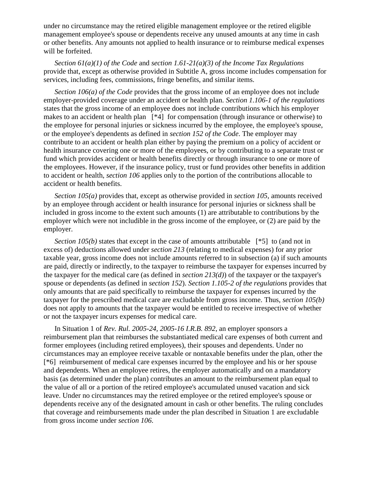under no circumstance may the retired eligible management employee or the retired eligible management employee's spouse or dependents receive any unused amounts at any time in cash or other benefits. Any amounts not applied to health insurance or to reimburse medical expenses will be forfeited.

*Section 61(a)(1) of the Code* and *section 1.61-21(a)(3) of the Income Tax Regulations* provide that, except as otherwise provided in Subtitle A, gross income includes compensation for services, including fees, commissions, fringe benefits, and similar items.

*Section 106(a) of the Code* provides that the gross income of an employee does not include employer-provided coverage under an accident or health plan. *Section 1.106-1 of the regulations* states that the gross income of an employee does not include contributions which his employer makes to an accident or health plan [\*4] for compensation (through insurance or otherwise) to the employee for personal injuries or sickness incurred by the employee, the employee's spouse, or the employee's dependents as defined in *section 152 of the Code*. The employer may contribute to an accident or health plan either by paying the premium on a policy of accident or health insurance covering one or more of the employees, or by contributing to a separate trust or fund which provides accident or health benefits directly or through insurance to one or more of the employees. However, if the insurance policy, trust or fund provides other benefits in addition to accident or health, *section 106* applies only to the portion of the contributions allocable to accident or health benefits.

*Section 105(a)* provides that, except as otherwise provided in *section 105*, amounts received by an employee through accident or health insurance for personal injuries or sickness shall be included in gross income to the extent such amounts (1) are attributable to contributions by the employer which were not includible in the gross income of the employee, or (2) are paid by the employer.

*Section 105(b)* states that except in the case of amounts attributable  $[^*5]$  to (and not in excess of) deductions allowed under *section 213* (relating to medical expenses) for any prior taxable year, gross income does not include amounts referred to in subsection (a) if such amounts are paid, directly or indirectly, to the taxpayer to reimburse the taxpayer for expenses incurred by the taxpayer for the medical care (as defined in *section 213(d)*) of the taxpayer or the taxpayer's spouse or dependents (as defined in *section 152*). *Section 1.105-2 of the regulations* provides that only amounts that are paid specifically to reimburse the taxpayer for expenses incurred by the taxpayer for the prescribed medical care are excludable from gross income. Thus, *section 105(b)* does not apply to amounts that the taxpayer would be entitled to receive irrespective of whether or not the taxpayer incurs expenses for medical care.

In Situation 1 of *Rev. Rul. 2005-24, 2005-16 I.R.B. 892*, an employer sponsors a reimbursement plan that reimburses the substantiated medical care expenses of both current and former employees (including retired employees), their spouses and dependents. Under no circumstances may an employee receive taxable or nontaxable benefits under the plan, other the [\*6] reimbursement of medical care expenses incurred by the employee and his or her spouse and dependents. When an employee retires, the employer automatically and on a mandatory basis (as determined under the plan) contributes an amount to the reimbursement plan equal to the value of all or a portion of the retired employee's accumulated unused vacation and sick leave. Under no circumstances may the retired employee or the retired employee's spouse or dependents receive any of the designated amount in cash or other benefits. The ruling concludes that coverage and reimbursements made under the plan described in Situation 1 are excludable from gross income under *section 106*.